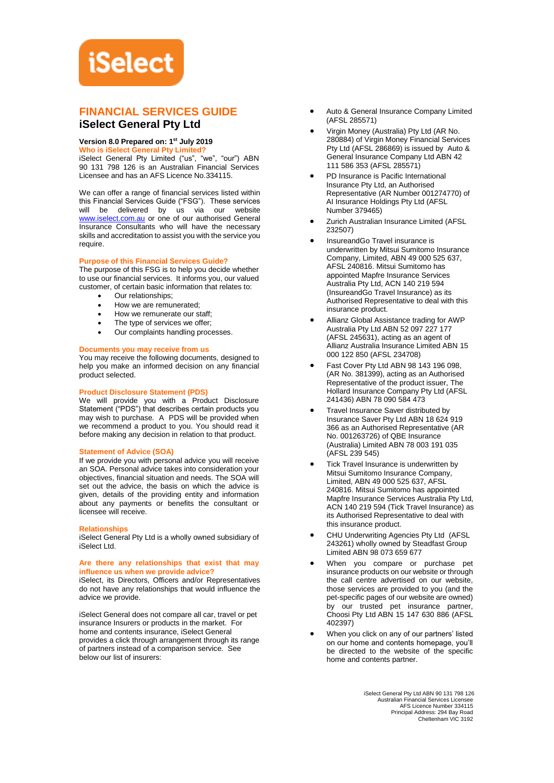# **iSelect**

### **FINANCIAL SERVICES GUIDE iSelect General Pty Ltd**

#### **Version 8.0 Prepared on: 1 st July 2019**

**Who is iSelect General Pty Limited?**

iSelect General Pty Limited ("us", "we", "our") ABN 90 131 798 126 is an Australian Financial Services Licensee and has an AFS Licence No.334115.

We can offer a range of financial services listed within this Financial Services Guide ("FSG"). These services will be delivered by us via our website [www.iselect.com.au](http://www.iselect.com.au/) or one of our authorised General Insurance Consultants who will have the necessary skills and accreditation to assist you with the service you require.

#### **Purpose of this Financial Services Guide?**

The purpose of this FSG is to help you decide whether to use our financial services. It informs you, our valued customer, of certain basic information that relates to:

- Our relationships;
- How we are remunerated;
- How we remunerate our staff:
- The type of services we offer;
- Our complaints handling processes.

#### **Documents you may receive from us**

You may receive the following documents, designed to help you make an informed decision on any financial product selected.

#### **Product Disclosure Statement (PDS)**

We will provide you with a Product Disclosure Statement ("PDS") that describes certain products you may wish to purchase. A PDS will be provided when we recommend a product to you. You should read it before making any decision in relation to that product.

#### **Statement of Advice (SOA)**

If we provide you with personal advice you will receive an SOA. Personal advice takes into consideration your objectives, financial situation and needs. The SOA will set out the advice, the basis on which the advice is given, details of the providing entity and information about any payments or benefits the consultant or licensee will receive.

#### **Relationships**

iSelect General Pty Ltd is a wholly owned subsidiary of iSelect Ltd.

#### **Are there any relationships that exist that may influence us when we provide advice?**

iSelect, its Directors, Officers and/or Representatives do not have any relationships that would influence the advice we provide.

iSelect General does not compare all car, travel or pet insurance Insurers or products in the market. For home and contents insurance, iSelect General provides a click through arrangement through its range of partners instead of a comparison service. See below our list of insurers:

- Auto & General Insurance Company Limited (AFSL 285571)
- Virgin Money (Australia) Pty Ltd (AR No. 280884) of Virgin Money Financial Services Pty Ltd (AFSL 286869) is issued by Auto & General Insurance Company Ltd ABN 42 111 586 353 (AFSL 285571)
- PD Insurance is Pacific International Insurance Pty Ltd, an Authorised Representative (AR Number 001274770) of AI Insurance Holdings Pty Ltd (AFSL Number 379465)
- Zurich Australian Insurance Limited (AFSL 232507)
- InsureandGo Travel insurance is underwritten by Mitsui Sumitomo Insurance Company, Limited, ABN 49 000 525 637, AFSL 240816. Mitsui Sumitomo has appointed Mapfre Insurance Services Australia Pty Ltd, ACN 140 219 594 (InsureandGo Travel Insurance) as its Authorised Representative to deal with this insurance product.
- Allianz Global Assistance trading for AWP Australia Pty Ltd ABN 52 097 227 177 (AFSL 245631), acting as an agent of Allianz Australia Insurance Limited ABN 15 000 122 850 (AFSL 234708)
- Fast Cover Pty Ltd ABN 98 143 196 098, (AR No. 381399), acting as an Authorised Representative of the product issuer, The Hollard Insurance Company Pty Ltd (AFSL 241436) ABN 78 090 584 473
- Travel Insurance Saver distributed by Insurance Saver Pty Ltd ABN 18 624 919 366 as an Authorised Representative (AR No. 001263726) of QBE Insurance (Australia) Limited ABN 78 003 191 035 (AFSL 239 545)
- Tick Travel Insurance is underwritten by Mitsui Sumitomo Insurance Company, Limited, ABN 49 000 525 637, AFSL 240816. Mitsui Sumitomo has appointed Mapfre Insurance Services Australia Pty Ltd, ACN 140 219 594 (Tick Travel Insurance) as its Authorised Representative to deal with this insurance product.
- CHU Underwriting Agencies Pty Ltd (AFSL 243261) wholly owned by Steadfast Group Limited ABN 98 073 659 677
- When you compare or purchase pet insurance products on our website or through the call centre advertised on our website, those services are provided to you (and the pet-specific pages of our website are owned) by our trusted pet insurance partner, Choosi Pty Ltd ABN 15 147 630 886 (AFSL 402397)
- When you click on any of our partners' listed on our home and contents homepage, you'll be directed to the website of the specific home and contents partner.

iSelect General Pty Ltd ABN 90 131 798 126 Australian Financial Services Licensee AFS Licence Number 334115 Principal Address: 294 Bay Road Cheltenham VIC 3192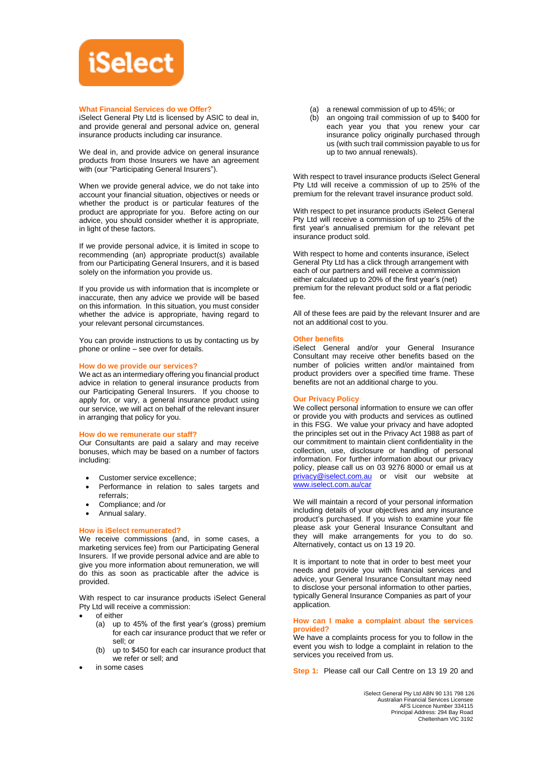

#### **What Financial Services do we Offer?**

iSelect General Pty Ltd is licensed by ASIC to deal in, and provide general and personal advice on, general insurance products including car insurance.

We deal in, and provide advice on general insurance products from those Insurers we have an agreement with (our "Participating General Insurers").

When we provide general advice, we do not take into account your financial situation, objectives or needs or whether the product is or particular features of the product are appropriate for you. Before acting on our advice, you should consider whether it is appropriate, in light of these factors.

If we provide personal advice, it is limited in scope to recommending (an) appropriate product(s) available from our Participating General Insurers, and it is based solely on the information you provide us.

If you provide us with information that is incomplete or inaccurate, then any advice we provide will be based on this information. In this situation, you must consider whether the advice is appropriate, having regard to your relevant personal circumstances.

You can provide instructions to us by contacting us by phone or online – see over for details.

#### **How do we provide our services?**

We act as an intermediary offering you financial product advice in relation to general insurance products from our Participating General Insurers. If you choose to apply for, or vary, a general insurance product using our service, we will act on behalf of the relevant insurer in arranging that policy for you.

#### **How do we remunerate our staff?**

Our Consultants are paid a salary and may receive bonuses, which may be based on a number of factors including:

- Customer service excellence;
- Performance in relation to sales targets and referrals;
- Compliance; and /or
- Annual salary.

#### **How is iSelect remunerated?**

We receive commissions (and, in some cases, a marketing services fee) from our Participating General Insurers. If we provide personal advice and are able to give you more information about remuneration, we will do this as soon as practicable after the advice is provided.

With respect to car insurance products iSelect General Pty Ltd will receive a commission:

- of either
	- (a) up to 45% of the first year's (gross) premium for each car insurance product that we refer or sell; or
	- (b) up to \$450 for each car insurance product that we refer or sell; and
- in some cases
- (a) a renewal commission of up to 45%; or
- (b) an ongoing trail commission of up to \$400 for each year you that you renew your car insurance policy originally purchased through us (with such trail commission payable to us for up to two annual renewals).

With respect to travel insurance products iSelect General Pty Ltd will receive a commission of up to 25% of the premium for the relevant travel insurance product sold.

With respect to pet insurance products iSelect General Pty Ltd will receive a commission of up to 25% of the first year's annualised premium for the relevant pet insurance product sold.

With respect to home and contents insurance, iSelect General Pty Ltd has a click through arrangement with each of our partners and will receive a commission either calculated up to 20% of the first year's (net) premium for the relevant product sold or a flat periodic fee.

All of these fees are paid by the relevant Insurer and are not an additional cost to you.

#### **Other benefits**

iSelect General and/or your General Insurance Consultant may receive other benefits based on the number of policies written and/or maintained from product providers over a specified time frame. These benefits are not an additional charge to you.

#### **Our Privacy Policy**

We collect personal information to ensure we can offer or provide you with products and services as outlined in this FSG. We value your privacy and have adopted the principles set out in the Privacy Act 1988 as part of our commitment to maintain client confidentiality in the collection, use, disclosure or handling of personal information. For further information about our privacy policy, please call us on 03 9276 8000 or email us at [privacy@iselect.com.au](mailto:privacy@iselect.com.au) or visit our website at [www.iselect.com.au/car](http://www.iselect.com.au/car)

We will maintain a record of your personal information including details of your objectives and any insurance product's purchased. If you wish to examine your file please ask your General Insurance Consultant and they will make arrangements for you to do so. Alternatively, contact us on 13 19 20.

It is important to note that in order to best meet your needs and provide you with financial services and advice, your General Insurance Consultant may need to disclose your personal information to other parties, typically General Insurance Companies as part of your application.

#### **How can I make a complaint about the services provided?**

We have a complaints process for you to follow in the event you wish to lodge a complaint in relation to the services you received from us.

**Step 1:** Please call our Call Centre on 13 19 20 and

iSelect General Pty Ltd ABN 90 131 798 126 Australian Financial Services Licensee AFS Licence Number 334115 Principal Address: 294 Bay Road Cheltenham VIC 3192